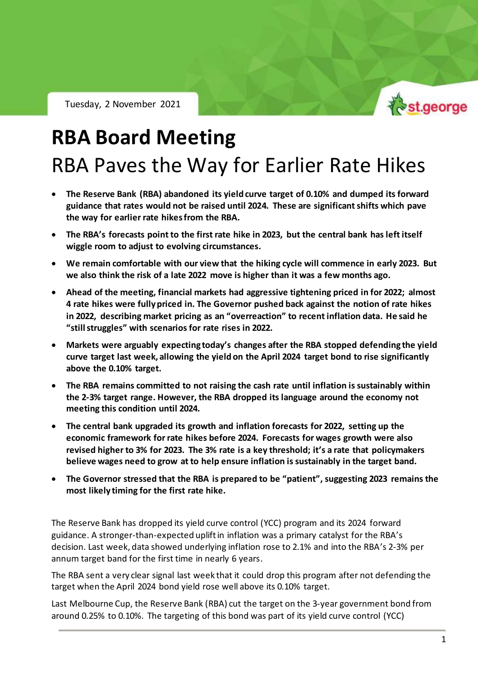

RBA Policy Outlook – 2 November 2021

## **RBA Board Meeting** RBA Paves the Way for Earlier Rate Hikes

- **The Reserve Bank (RBA) abandoned its yield curve target of 0.10% and dumped its forward guidance that rates would not be raised until 2024. These are significant shifts which pave the way for earlier rate hikes from the RBA.**
- **The RBA's forecasts point to the first rate hike in 2023, but the central bank has left itself wiggle room to adjust to evolving circumstances.**
- **We remain comfortable with our view that the hiking cycle will commence in early 2023. But we also think the risk of a late 2022 move is higher than it was a few months ago.**
- **Ahead of the meeting, financial markets had aggressive tightening priced in for 2022; almost 4 rate hikes were fully priced in. The Governor pushed back against the notion of rate hikes in 2022, describing market pricing as an "overreaction" to recent inflation data. He said he "still struggles" with scenarios for rate rises in 2022.**
- **Markets were arguably expecting today's changes after the RBA stopped defending the yield curve target last week, allowing the yield on the April 2024 target bond to rise significantly above the 0.10% target.**
- **The RBA remains committed to not raising the cash rate until inflation is sustainably within the 2-3% target range. However, the RBA dropped its language around the economy not meeting this condition until 2024.**
- **The central bank upgraded its growth and inflation forecasts for 2022, setting up the economic framework for rate hikes before 2024. Forecasts for wages growth were also revised higher to 3% for 2023. The 3% rate is a key threshold; it's a rate that policymakers believe wages need to grow at to help ensure inflation is sustainably in the target band.**
- **The Governor stressed that the RBA is prepared to be "patient", suggesting 2023 remains the most likely timing for the first rate hike.**

The Reserve Bank has dropped its yield curve control (YCC) program and its 2024 forward guidance. A stronger-than-expected uplift in inflation was a primary catalyst for the RBA's decision. Last week, data showed underlying inflation rose to 2.1% and into the RBA's 2-3% per annum target band for the first time in nearly 6 years.

The RBA sent a very clear signal last week that it could drop this program after not defending the target when the April 2024 bond yield rose well above its 0.10% target.

Last Melbourne Cup, the Reserve Bank (RBA) cut the target on the 3-year government bond from around 0.25% to 0.10%. The targeting of this bond was part of its yield curve control (YCC)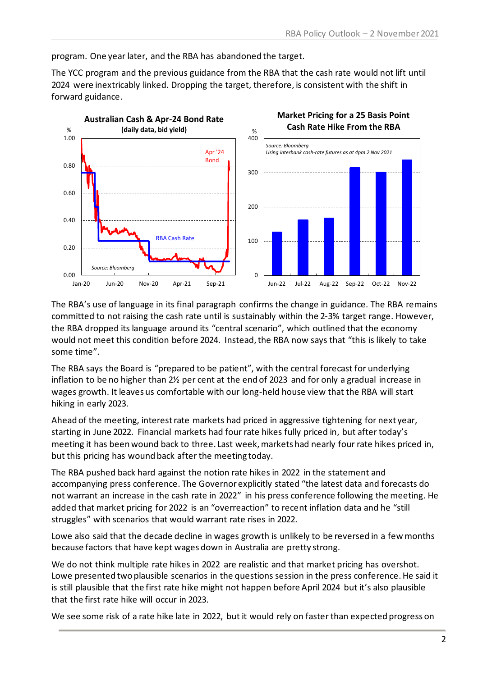program. One year later, and the RBA has abandoned the target.

The YCC program and the previous guidance from the RBA that the cash rate would not lift until 2024 were inextricably linked. Dropping the target, therefore, is consistent with the shift in forward guidance.



The RBA's use of language in its final paragraph confirms the change in guidance. The RBA remains committed to not raising the cash rate until is sustainably within the 2-3% target range. However, the RBA dropped its language around its "central scenario", which outlined that the economy would not meet this condition before 2024. Instead, the RBA now says that "this is likely to take some time".

The RBA says the Board is "prepared to be patient", with the central forecast for underlying inflation to be no higher than 2½ per cent at the end of 2023 and for only a gradual increase in wages growth. It leaves us comfortable with our long-held house view that the RBA will start hiking in early 2023.

Ahead of the meeting, interest rate markets had priced in aggressive tightening for next year, starting in June 2022. Financial markets had four rate hikes fully priced in, but after today's meeting it has been wound back to three. Last week, markets had nearly four rate hikes priced in, but this pricing has wound back after the meeting today.

The RBA pushed back hard against the notion rate hikes in 2022 in the statement and accompanying press conference. The Governor explicitly stated "the latest data and forecasts do not warrant an increase in the cash rate in 2022" in his press conference following the meeting. He added that market pricing for 2022 is an "overreaction" to recent inflation data and he "still struggles" with scenarios that would warrant rate rises in 2022.

Lowe also said that the decade decline in wages growth is unlikely to be reversed in a few months because factors that have kept wages down in Australia are pretty strong.

We do not think multiple rate hikes in 2022 are realistic and that market pricing has overshot. Lowe presented two plausible scenarios in the questions session in the press conference. He said it is still plausible that the first rate hike might not happen before April 2024 but it's also plausible that the first rate hike will occur in 2023.

We see some risk of a rate hike late in 2022, but it would rely on faster than expected progress on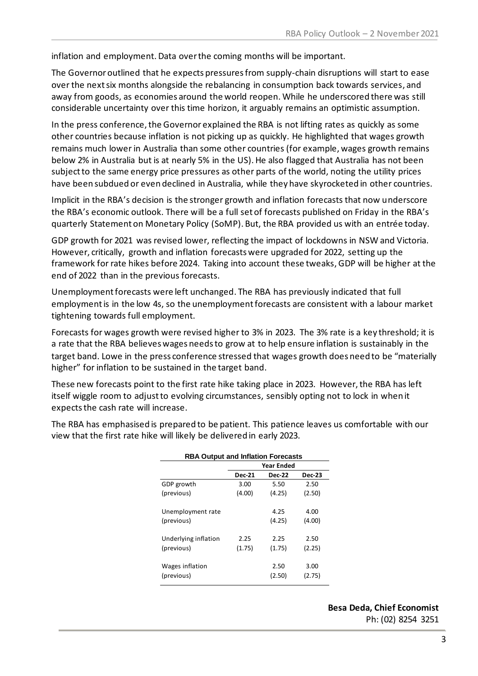inflation and employment. Data over the coming months will be important.

The Governor outlined that he expects pressures from supply-chain disruptions will start to ease over the next six months alongside the rebalancing in consumption back towards services, and away from goods, as economies around the world reopen. While he underscored there was still considerable uncertainty over this time horizon, it arguably remains an optimistic assumption.

In the press conference, the Governor explained the RBA is not lifting rates as quickly as some other countries because inflation is not picking up as quickly. He highlighted that wages growth remains much lower in Australia than some other countries (for example, wages growth remains below 2% in Australia but is at nearly 5% in the US). He also flagged that Australia has not been subject to the same energy price pressures as other parts of the world, noting the utility prices have been subdued or even declined in Australia, while they have skyrocketed in other countries.

Implicit in the RBA's decision is the stronger growth and inflation forecasts that now underscore the RBA's economic outlook. There will be a full set of forecasts published on Friday in the RBA's quarterly Statement on Monetary Policy (SoMP). But, the RBA provided us with an entrée today.

GDP growth for 2021 was revised lower, reflecting the impact of lockdowns in NSW and Victoria. However, critically, growth and inflation forecasts were upgraded for 2022, setting up the framework for rate hikes before 2024. Taking into account these tweaks,GDP will be higher at the end of 2022 than in the previous forecasts.

Unemployment forecasts were left unchanged. The RBA has previously indicated that full employment is in the low 4s, so the unemploymentforecasts are consistent with a labour market tightening towards full employment.

Forecasts for wages growth were revised higher to 3% in 2023. The 3% rate is a key threshold; it is a rate that the RBA believes wages needs to grow at to help ensure inflation is sustainably in the target band. Lowe in the press conference stressed that wages growth does need to be "materially higher" for inflation to be sustained in the target band.

These new forecasts point to the first rate hike taking place in 2023. However, the RBA has left itself wiggle room to adjust to evolving circumstances, sensibly opting not to lock in when it expects the cash rate will increase.

The RBA has emphasised is prepared to be patient. This patience leaves us comfortable with our view that the first rate hike will likely be delivered in early 2023.

| <b>RBA Output and Inflation Forecasts</b> |                   |               |               |
|-------------------------------------------|-------------------|---------------|---------------|
|                                           | <b>Year Ended</b> |               |               |
|                                           | <b>Dec-21</b>     | <b>Dec-22</b> | <b>Dec-23</b> |
| GDP growth                                | 3.00              | 5.50          | 2.50          |
| (previous)                                | (4.00)            | (4.25)        | (2.50)        |
| Unemployment rate                         |                   | 4.25          | 4.00          |
| (previous)                                |                   | (4.25)        | (4.00)        |
| Underlying inflation                      | 2.25              | 2.25          | 2.50          |
| (previous)                                | (1.75)            | (1.75)        | (2.25)        |
| Wages inflation                           |                   | 2.50          | 3.00          |
| (previous)                                |                   | (2.50)        | (2.75)        |

**Besa Deda, Chief Economist** Ph: (02) 8254 3251